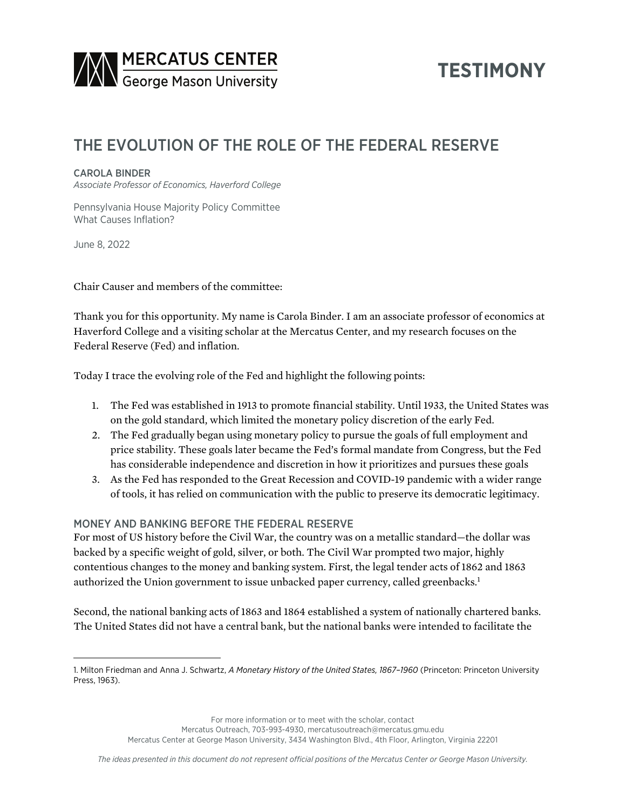

# **TESTIMONY**

# THE EVOLUTION OF THE ROLE OF THE FEDERAL RESERVE

#### CAROLA BINDER

*Associate Professor of Economics, Haverford College*

Pennsylvania House Majority Policy Committee What Causes Inflation?

June 8, 2022

Chair Causer and members of the committee:

Thank you for this opportunity. My name is Carola Binder. I am an associate professor of economics at Haverford College and a visiting scholar at the Mercatus Center, and my research focuses on the Federal Reserve (Fed) and inflation.

Today I trace the evolving role of the Fed and highlight the following points:

- 1. The Fed was established in 1913 to promote financial stability. Until 1933, the United States was on the gold standard, which limited the monetary policy discretion of the early Fed.
- 2. The Fed gradually began using monetary policy to pursue the goals of full employment and price stability. These goals later became the Fed's formal mandate from Congress, but the Fed has considerable independence and discretion in how it prioritizes and pursues these goals
- 3. As the Fed has responded to the Great Recession and COVID-19 pandemic with a wider range of tools, it has relied on communication with the public to preserve its democratic legitimacy.

## MONEY AND BANKING BEFORE THE FEDERAL RESERVE

For most of US history before the Civil War, the country was on a metallic standard—the dollar was backed by a specific weight of gold, silver, or both. The Civil War prompted two major, highly contentious changes to the money and banking system. First, the legal tender acts of 1862 and 1863 authorized the Union government to issue unbacked paper currency, called greenbacks.<sup>1</sup>

Second, the national banking acts of 1863 and 1864 established a system of nationally chartered banks. The United States did not have a central bank, but the national banks were intended to facilitate the

For more information or to meet with the scholar, contact

Mercatus Outreach, 703-993-4930, mercatusoutreach@mercatus.gmu.edu

Mercatus Center at George Mason University, 3434 Washington Blvd., 4th Floor, Arlington, Virginia 22201

<sup>1.</sup> Milton Friedman and Anna J. Schwartz, *A Monetary History of the United States, 1867–1960* (Princeton: Princeton University Press, 1963).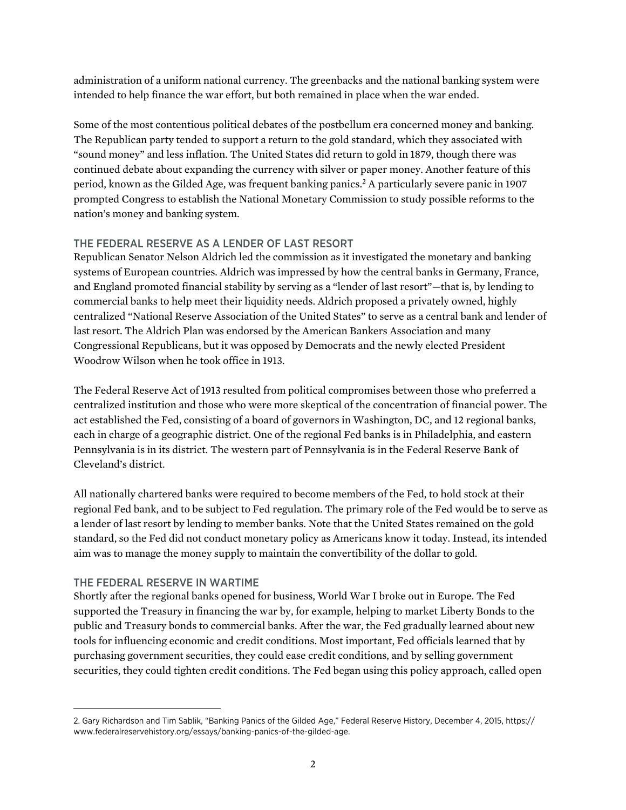administration of a uniform national currency. The greenbacks and the national banking system were intended to help finance the war effort, but both remained in place when the war ended.

Some of the most contentious political debates of the postbellum era concerned money and banking. The Republican party tended to support a return to the gold standard, which they associated with "sound money" and less inflation. The United States did return to gold in 1879, though there was continued debate about expanding the currency with silver or paper money. Another feature of this period, known as the Gilded Age, was frequent banking panics.2 A particularly severe panic in 1907 prompted Congress to establish the National Monetary Commission to study possible reforms to the nation's money and banking system.

## THE FEDERAL RESERVE AS A LENDER OF LAST RESORT

Republican Senator Nelson Aldrich led the commission as it investigated the monetary and banking systems of European countries. Aldrich was impressed by how the central banks in Germany, France, and England promoted financial stability by serving as a "lender of last resort"—that is, by lending to commercial banks to help meet their liquidity needs. Aldrich proposed a privately owned, highly centralized "National Reserve Association of the United States" to serve as a central bank and lender of last resort. The Aldrich Plan was endorsed by the American Bankers Association and many Congressional Republicans, but it was opposed by Democrats and the newly elected President Woodrow Wilson when he took office in 1913.

The Federal Reserve Act of 1913 resulted from political compromises between those who preferred a centralized institution and those who were more skeptical of the concentration of financial power. The act established the Fed, consisting of a board of governors in Washington, DC, and 12 regional banks, each in charge of a geographic district. One of the regional Fed banks is in Philadelphia, and eastern Pennsylvania is in its district. The western part of Pennsylvania is in the Federal Reserve Bank of Cleveland's district.

All nationally chartered banks were required to become members of the Fed, to hold stock at their regional Fed bank, and to be subject to Fed regulation. The primary role of the Fed would be to serve as a lender of last resort by lending to member banks. Note that the United States remained on the gold standard, so the Fed did not conduct monetary policy as Americans know it today. Instead, its intended aim was to manage the money supply to maintain the convertibility of the dollar to gold.

#### THE FEDERAL RESERVE IN WARTIME

Shortly after the regional banks opened for business, World War I broke out in Europe. The Fed supported the Treasury in financing the war by, for example, helping to market Liberty Bonds to the public and Treasury bonds to commercial banks. After the war, the Fed gradually learned about new tools for influencing economic and credit conditions. Most important, Fed officials learned that by purchasing government securities, they could ease credit conditions, and by selling government securities, they could tighten credit conditions. The Fed began using this policy approach, called open

<sup>2.</sup> Gary Richardson and Tim Sablik, "Banking Panics of the Gilded Age," Federal Reserve History, December 4, 2015, [https://](https://www.federalreservehistory.org/essays/banking-panics-of-the-gilded-age) [www.federalreservehistory.org/essays/banking-panics-of-the-gilded-age.](https://www.federalreservehistory.org/essays/banking-panics-of-the-gilded-age)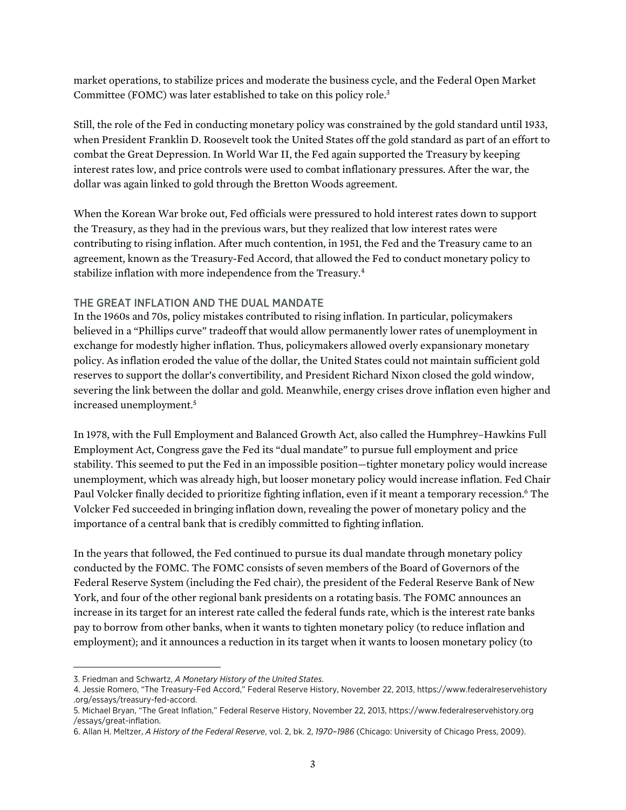market operations, to stabilize prices and moderate the business cycle, and the Federal Open Market Committee (FOMC) was later established to take on this policy role.3

Still, the role of the Fed in conducting monetary policy was constrained by the gold standard until 1933, when President Franklin D. Roosevelt took the United States off the gold standard as part of an effort to combat the Great Depression. In World War II, the Fed again supported the Treasury by keeping interest rates low, and price controls were used to combat inflationary pressures. After the war, the dollar was again linked to gold through the Bretton Woods agreement.

When the Korean War broke out, Fed officials were pressured to hold interest rates down to support the Treasury, as they had in the previous wars, but they realized that low interest rates were contributing to rising inflation. After much contention, in 1951, the Fed and the Treasury came to an agreement, known as the Treasury-Fed Accord, that allowed the Fed to conduct monetary policy to stabilize inflation with more independence from the Treasury.4

#### THE GREAT INFLATION AND THE DUAL MANDATE

In the 1960s and 70s, policy mistakes contributed to rising inflation. In particular, policymakers believed in a "Phillips curve" tradeoff that would allow permanently lower rates of unemployment in exchange for modestly higher inflation. Thus, policymakers allowed overly expansionary monetary policy. As inflation eroded the value of the dollar, the United States could not maintain sufficient gold reserves to support the dollar's convertibility, and President Richard Nixon closed the gold window, severing the link between the dollar and gold. Meanwhile, energy crises drove inflation even higher and increased unemployment.5

In 1978, with the Full Employment and Balanced Growth Act, also called the Humphrey–Hawkins Full Employment Act, Congress gave the Fed its "dual mandate" to pursue full employment and price stability. This seemed to put the Fed in an impossible position—tighter monetary policy would increase unemployment, which was already high, but looser monetary policy would increase inflation. Fed Chair Paul Volcker finally decided to prioritize fighting inflation, even if it meant a temporary recession.<sup>6</sup> The Volcker Fed succeeded in bringing inflation down, revealing the power of monetary policy and the importance of a central bank that is credibly committed to fighting inflation.

In the years that followed, the Fed continued to pursue its dual mandate through monetary policy conducted by the FOMC. The FOMC consists of seven members of the Board of Governors of the Federal Reserve System (including the Fed chair), the president of the Federal Reserve Bank of New York, and four of the other regional bank presidents on a rotating basis. The FOMC announces an increase in its target for an interest rate called the federal funds rate, which is the interest rate banks pay to borrow from other banks, when it wants to tighten monetary policy (to reduce inflation and employment); and it announces a reduction in its target when it wants to loosen monetary policy (to

<sup>3.</sup> Friedman and Schwartz, *A Monetary History of the United States*.

<sup>4.</sup> Jessie Romero, "The Treasury-Fed Accord," Federal Reserve History, November 22, 2013, [https://www.federalreservehistory](https://www.federalreservehistory.org/essays/treasury-fed-accord) [.org/essays/treasury-fed-accord](https://www.federalreservehistory.org/essays/treasury-fed-accord).

<sup>5.</sup> Michael Bryan, "The Great Inflation," Federal Reserve History, November 22, 2013, [https://www.federalreservehistory.org](https://www.federalreservehistory.org/essays/great-inflation) [/essays/great-inflation.](https://www.federalreservehistory.org/essays/great-inflation)

<sup>6.</sup> Allan H. Meltzer, *A History of the Federal Reserve*, vol. 2, bk. 2, *1970–1986* (Chicago: University of Chicago Press, 2009).